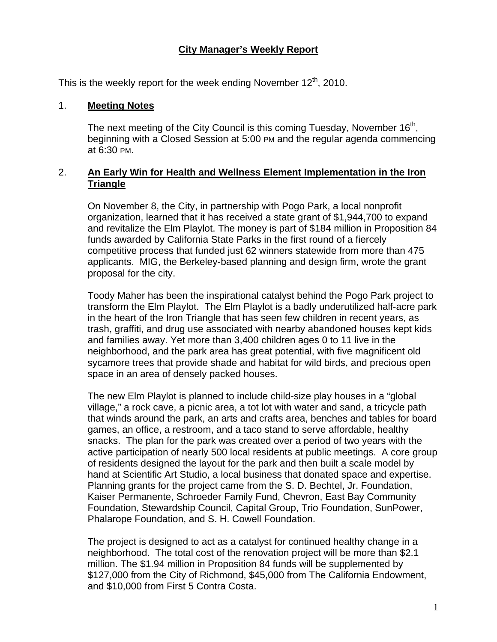## **City Manager's Weekly Report**

This is the weekly report for the week ending November  $12<sup>th</sup>$ , 2010.

#### 1. **Meeting Notes**

The next meeting of the City Council is this coming Tuesday, November  $16<sup>th</sup>$ , beginning with a Closed Session at 5:00 PM and the regular agenda commencing at 6:30 PM.

## 2. **An Early Win for Health and Wellness Element Implementation in the Iron Triangle**

On November 8, the City, in partnership with Pogo Park, a local nonprofit organization, learned that it has received a state grant of \$1,944,700 to expand and revitalize the Elm Playlot. The money is part of \$184 million in Proposition 84 funds awarded by California State Parks in the first round of a fiercely competitive process that funded just 62 winners statewide from more than 475 applicants. MIG, the Berkeley-based planning and design firm, wrote the grant proposal for the city.

Toody Maher has been the inspirational catalyst behind the Pogo Park project to transform the Elm Playlot. The Elm Playlot is a badly underutilized half-acre park in the heart of the Iron Triangle that has seen few children in recent years, as trash, graffiti, and drug use associated with nearby abandoned houses kept kids and families away. Yet more than 3,400 children ages 0 to 11 live in the neighborhood, and the park area has great potential, with five magnificent old sycamore trees that provide shade and habitat for wild birds, and precious open space in an area of densely packed houses.

The new Elm Playlot is planned to include child-size play houses in a "global village," a rock cave, a picnic area, a tot lot with water and sand, a tricycle path that winds around the park, an arts and crafts area, benches and tables for board games, an office, a restroom, and a taco stand to serve affordable, healthy snacks. The plan for the park was created over a period of two years with the active participation of nearly 500 local residents at public meetings. A core group of residents designed the layout for the park and then built a scale model by hand at Scientific Art Studio, a local business that donated space and expertise. Planning grants for the project came from the S. D. Bechtel, Jr. Foundation, Kaiser Permanente, Schroeder Family Fund, Chevron, East Bay Community Foundation, Stewardship Council, Capital Group, Trio Foundation, SunPower, Phalarope Foundation, and S. H. Cowell Foundation.

The project is designed to act as a catalyst for continued healthy change in a neighborhood. The total cost of the renovation project will be more than \$2.1 million. The \$1.94 million in Proposition 84 funds will be supplemented by \$127,000 from the City of Richmond, \$45,000 from The California Endowment, and \$10,000 from First 5 Contra Costa.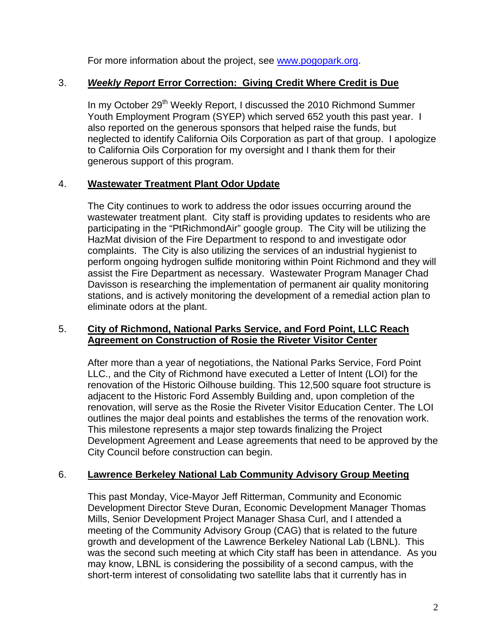For more information about the project, see [www.pogopark.org](http://www.pogopark.org/).

# 3. *Weekly Report* **Error Correction: Giving Credit Where Credit is Due**

In my October 29<sup>th</sup> Weekly Report, I discussed the 2010 Richmond Summer Youth Employment Program (SYEP) which served 652 youth this past year. I also reported on the generous sponsors that helped raise the funds, but neglected to identify California Oils Corporation as part of that group. I apologize to California Oils Corporation for my oversight and I thank them for their generous support of this program.

## 4. **Wastewater Treatment Plant Odor Update**

The City continues to work to address the odor issues occurring around the wastewater treatment plant. City staff is providing updates to residents who are participating in the "PtRichmondAir" google group. The City will be utilizing the HazMat division of the Fire Department to respond to and investigate odor complaints. The City is also utilizing the services of an industrial hygienist to perform ongoing hydrogen sulfide monitoring within Point Richmond and they will assist the Fire Department as necessary. Wastewater Program Manager Chad Davisson is researching the implementation of permanent air quality monitoring stations, and is actively monitoring the development of a remedial action plan to eliminate odors at the plant.

### 5. **City of Richmond, National Parks Service, and Ford Point, LLC Reach Agreement on Construction of Rosie the Riveter Visitor Center**

After more than a year of negotiations, the National Parks Service, Ford Point LLC., and the City of Richmond have executed a Letter of Intent (LOI) for the renovation of the Historic Oilhouse building. This 12,500 square foot structure is adjacent to the Historic Ford Assembly Building and, upon completion of the renovation, will serve as the Rosie the Riveter Visitor Education Center. The LOI outlines the major deal points and establishes the terms of the renovation work. This milestone represents a major step towards finalizing the Project Development Agreement and Lease agreements that need to be approved by the City Council before construction can begin.

### 6. **Lawrence Berkeley National Lab Community Advisory Group Meeting**

This past Monday, Vice-Mayor Jeff Ritterman, Community and Economic Development Director Steve Duran, Economic Development Manager Thomas Mills, Senior Development Project Manager Shasa Curl, and I attended a meeting of the Community Advisory Group (CAG) that is related to the future growth and development of the Lawrence Berkeley National Lab (LBNL). This was the second such meeting at which City staff has been in attendance. As you may know, LBNL is considering the possibility of a second campus, with the short-term interest of consolidating two satellite labs that it currently has in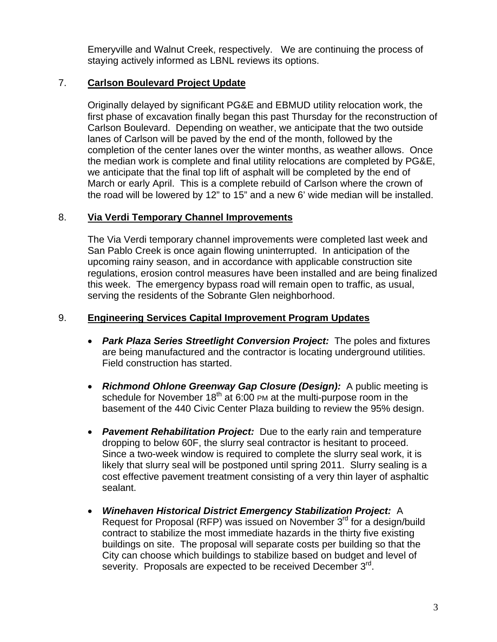Emeryville and Walnut Creek, respectively. We are continuing the process of staying actively informed as LBNL reviews its options.

# 7. **Carlson Boulevard Project Update**

Originally delayed by significant PG&E and EBMUD utility relocation work, the first phase of excavation finally began this past Thursday for the reconstruction of Carlson Boulevard. Depending on weather, we anticipate that the two outside lanes of Carlson will be paved by the end of the month, followed by the completion of the center lanes over the winter months, as weather allows. Once the median work is complete and final utility relocations are completed by PG&E, we anticipate that the final top lift of asphalt will be completed by the end of March or early April. This is a complete rebuild of Carlson where the crown of the road will be lowered by 12" to 15" and a new 6' wide median will be installed.

# 8. **Via Verdi Temporary Channel Improvements**

The Via Verdi temporary channel improvements were completed last week and San Pablo Creek is once again flowing uninterrupted. In anticipation of the upcoming rainy season, and in accordance with applicable construction site regulations, erosion control measures have been installed and are being finalized this week. The emergency bypass road will remain open to traffic, as usual, serving the residents of the Sobrante Glen neighborhood.

## 9. **Engineering Services Capital Improvement Program Updates**

- *Park Plaza Series Streetlight Conversion Project:* The poles and fixtures are being manufactured and the contractor is locating underground utilities. Field construction has started.
- *Richmond Ohlone Greenway Gap Closure (Design):* A public meeting is schedule for November  $18<sup>th</sup>$  at 6:00 PM at the multi-purpose room in the basement of the 440 Civic Center Plaza building to review the 95% design.
- Pavement Rehabilitation Project: Due to the early rain and temperature dropping to below 60F, the slurry seal contractor is hesitant to proceed. Since a two-week window is required to complete the slurry seal work, it is likely that slurry seal will be postponed until spring 2011. Slurry sealing is a cost effective pavement treatment consisting of a very thin layer of asphaltic sealant.
- *Winehaven Historical District Emergency Stabilization Project:* A Request for Proposal (RFP) was issued on November 3<sup>rd</sup> for a design/build contract to stabilize the most immediate hazards in the thirty five existing buildings on site. The proposal will separate costs per building so that the City can choose which buildings to stabilize based on budget and level of severity. Proposals are expected to be received December 3<sup>rd</sup>.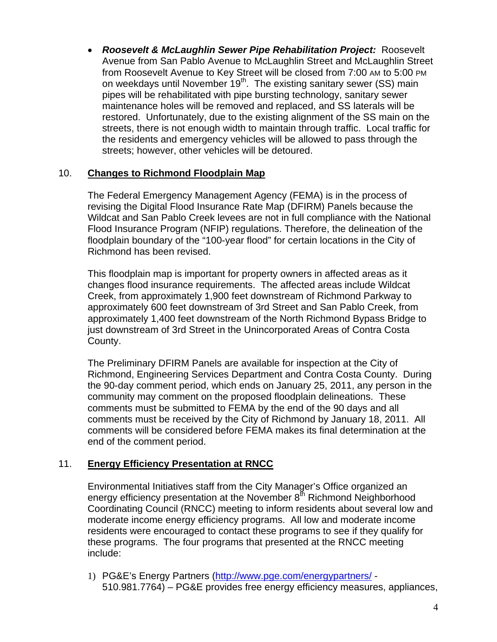*Roosevelt & McLaughlin Sewer Pipe Rehabilitation Project:*Roosevelt Avenue from San Pablo Avenue to McLaughlin Street and McLaughlin Street from Roosevelt Avenue to Key Street will be closed from 7:00 AM to 5:00 PM on weekdays until November 19<sup>th</sup>. The existing sanitary sewer (SS) main pipes will be rehabilitated with pipe bursting technology, sanitary sewer maintenance holes will be removed and replaced, and SS laterals will be restored. Unfortunately, due to the existing alignment of the SS main on the streets, there is not enough width to maintain through traffic. Local traffic for the residents and emergency vehicles will be allowed to pass through the streets; however, other vehicles will be detoured.

## 10. **Changes to Richmond Floodplain Map**

The Federal Emergency Management Agency (FEMA) is in the process of revising the Digital Flood Insurance Rate Map (DFIRM) Panels because the Wildcat and San Pablo Creek levees are not in full compliance with the National Flood Insurance Program (NFIP) regulations. Therefore, the delineation of the floodplain boundary of the "100-year flood" for certain locations in the City of Richmond has been revised.

This floodplain map is important for property owners in affected areas as it changes flood insurance requirements. The affected areas include Wildcat Creek, from approximately 1,900 feet downstream of Richmond Parkway to approximately 600 feet downstream of 3rd Street and San Pablo Creek, from approximately 1,400 feet downstream of the North Richmond Bypass Bridge to just downstream of 3rd Street in the Unincorporated Areas of Contra Costa County.

The Preliminary DFIRM Panels are available for inspection at the City of Richmond, Engineering Services Department and Contra Costa County. During the 90-day comment period, which ends on January 25, 2011, any person in the community may comment on the proposed floodplain delineations. These comments must be submitted to FEMA by the end of the 90 days and all comments must be received by the City of Richmond by January 18, 2011. All comments will be considered before FEMA makes its final determination at the end of the comment period.

# 11. **Energy Efficiency Presentation at RNCC**

Environmental Initiatives staff from the City Manager's Office organized an energy efficiency presentation at the November  $8<sup>th</sup>$  Richmond Neighborhood Coordinating Council (RNCC) meeting to inform residents about several low and moderate income energy efficiency programs. All low and moderate income residents were encouraged to contact these programs to see if they qualify for these programs. The four programs that presented at the RNCC meeting include:

1) PG&E's Energy Partners [\(http://www.pge.com/energypartners/](http://www.pge.com/energypartners/) - 510.981.7764) – PG&E provides free energy efficiency measures, appliances,